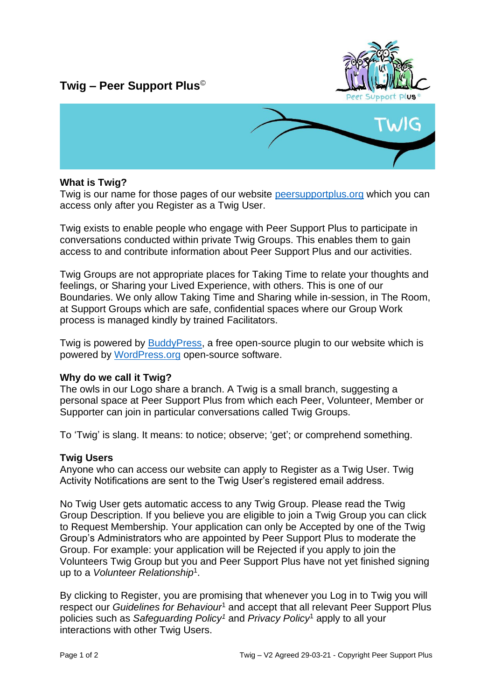# **Twig – Peer Support Plus**©





#### **What is Twig?**

Twig is our name for those pages of our website [peersupportplus.org](http://www.peersupportplus.org/) which you can access only after you Register as a Twig User.

Twig exists to enable people who engage with Peer Support Plus to participate in conversations conducted within private Twig Groups. This enables them to gain access to and contribute information about Peer Support Plus and our activities.

Twig Groups are not appropriate places for Taking Time to relate your thoughts and feelings, or Sharing your Lived Experience, with others. This is one of our Boundaries. We only allow Taking Time and Sharing while in-session, in The Room, at Support Groups which are safe, confidential spaces where our Group Work process is managed kindly by trained Facilitators.

Twig is powered by [BuddyPress,](https://buddypress.org/) a free open-source plugin to our website which is powered by [WordPress.org](https://en-gb.wordpress.org/) open-source software.

#### **Why do we call it Twig?**

The owls in our Logo share a branch. A Twig is a small branch, suggesting a personal space at Peer Support Plus from which each Peer, Volunteer, Member or Supporter can join in particular conversations called Twig Groups.

To 'Twig' is slang. It means: to notice; observe; 'get'; or comprehend something.

#### **Twig Users**

Anyone who can access our website can apply to Register as a Twig User. Twig Activity Notifications are sent to the Twig User's registered email address.

No Twig User gets automatic access to any Twig Group. Please read the Twig Group Description. If you believe you are eligible to join a Twig Group you can click to Request Membership. Your application can only be Accepted by one of the Twig Group's Administrators who are appointed by Peer Support Plus to moderate the Group. For example: your application will be Rejected if you apply to join the Volunteers Twig Group but you and Peer Support Plus have not yet finished signing up to a *Volunteer Relationship*<sup>1</sup> .

By clicking to Register, you are promising that whenever you Log in to Twig you will respect our *Guidelines for Behaviour*<sup>1</sup> and accept that all relevant Peer Support Plus policies such as *Safeguarding Policy<sup>1</sup>* and *Privacy Policy*<sup>1</sup> apply to all your interactions with other Twig Users.